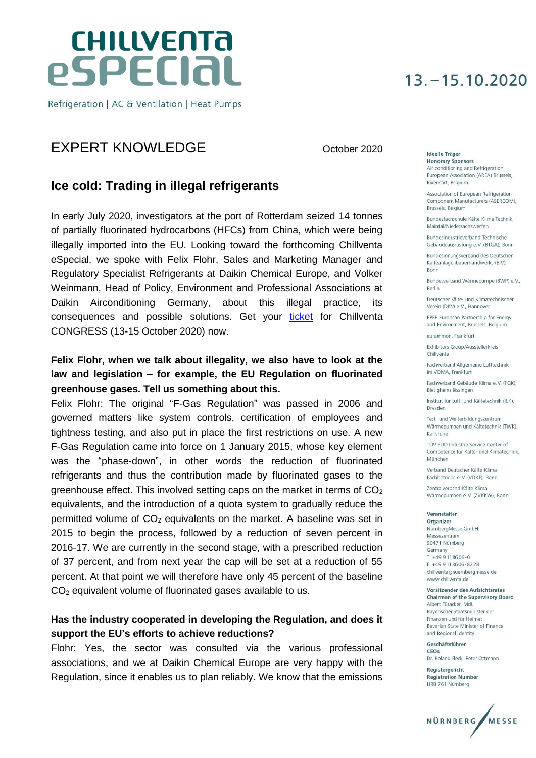# **CHILLVENTA** especial

Refrigeration | AC & Ventilation | Heat Pumps

## EXPERT KNOWLEDGE October 2020

### **Ice cold: Trading in illegal refrigerants**

In early July 2020, investigators at the port of Rotterdam seized 14 tonnes of partially fluorinated hydrocarbons (HFCs) from China, which were being illegally imported into the EU. Looking toward the forthcoming Chillventa eSpecial, we spoke with Felix Flohr, Sales and Marketing Manager and Regulatory Specialist Refrigerants at Daikin Chemical Europe, and Volker Weinmann, Head of Policy, Environment and Professional Associations at Daikin Airconditioning Germany, about this illegal practice, its consequences and possible solutions. Get your [ticket](https://www.messe-ticket.de/Nuernberg/Chillventa2020/Shop?culture=en) for Chillventa CONGRESS (13-15 October 2020) now.

### **Felix Flohr, when we talk about illegality, we also have to look at the law and legislation – for example, the EU Regulation on fluorinated greenhouse gases. Tell us something about this.**

Felix Flohr: The original "F-Gas Regulation" was passed in 2006 and governed matters like system controls, certification of employees and tightness testing, and also put in place the first restrictions on use. A new F-Gas Regulation came into force on 1 January 2015, whose key element was the "phase-down", in other words the reduction of fluorinated refrigerants and thus the contribution made by fluorinated gases to the greenhouse effect. This involved setting caps on the market in terms of  $CO<sub>2</sub>$ equivalents, and the introduction of a quota system to gradually reduce the permitted volume of  $CO<sub>2</sub>$  equivalents on the market. A baseline was set in 2015 to begin the process, followed by a reduction of seven percent in 2016-17. We are currently in the second stage, with a prescribed reduction of 37 percent, and from next year the cap will be set at a reduction of 55 percent. At that point we will therefore have only 45 percent of the baseline CO<sup>2</sup> equivalent volume of fluorinated gases available to us.

### **Has the industry cooperated in developing the Regulation, and does it support the EU's efforts to achieve reductions?**

Flohr: Yes, the sector was consulted via the various professional associations, and we at Daikin Chemical Europe are very happy with the Regulation, since it enables us to plan reliably. We know that the emissions

## $13, -15, 10, 2020$

Ideelle Träger **Honorary Sponsors** Air conditioning and Refrigeration European Association (AREA) Brussels. Rixensart, Belgium

Association of European Refrigeration Component Manufacturers (ASERCOM). Brussels, Belgium

Bundesfachschule Kälte-Klima-Technik Maintal/Niedersachswerfen

Bundesindustrieverband Technische Gebäudeausrüstung e.V. (BTGA), Bonn

Bundesinnungsverband des Deutschen Kälteanlagenbauerhandwerks (BIV) **Bonn** 

Bundesverband Wärmepumpe (BWP) e.V., Berlin

Deutscher Kälte- und Klimatechnischer Verein (DKV) e.V., Hannover

EPEE European Partnership for Energy and Environment, Brussels, Belgium

eurammon, Frankfurt

Exhibitors Group/Ausstellerkreis Chillyenta

Fachverband Allgemeine Lufttechnik im VDMA, Frankfurt

Eachverhand Gebäude-Klima e V (EGK) Bietigheim-Bissingen

Institut für Luft- und Kältetechnik (ILK), Dresden

Test- und Weiterbildungszentrum Wärmepumpen und Kältetechnik (TWK), Karlsruhe

TÜV SÜD Industrie Service Center of Competence für Kälte- und Klimatechnik, München

Verband Deutscher Kälte-Klima-Fachbetriebe e.V. (VDKF), Bonn

Zentralverband Kälte Klima Wärmepumpen e.V. (ZVKKW), Bonn

#### Veranstalter

Organizer NürnbergMesse GmbH Messezentrum 90471 Nürnberg Germany T +49 9 11 86 06-0 F +49 9 11 86 06 - 82 28 chillventa@nuernbergmesse.de www.chillventa.de

Vorsitzender des Aufsichtsrates **Chairman of the Supervisory Board** Albert Füracker, MdL Baverischer Staatsminister der Finanzen und für Heimat Bavarian State Minister of Finance and Regional Identity

Geschäftsführer CEOS Dr. Roland Fleck, Peter Ottmann

Registergericht **Registration Number** HRB 761 Nürnberg

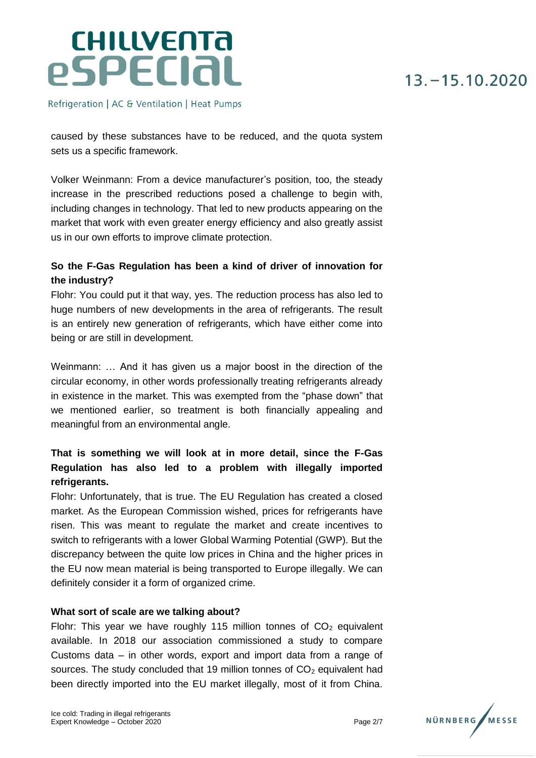Refrigeration | AC & Ventilation | Heat Pumps

caused by these substances have to be reduced, and the quota system sets us a specific framework.

Volker Weinmann: From a device manufacturer's position, too, the steady increase in the prescribed reductions posed a challenge to begin with, including changes in technology. That led to new products appearing on the market that work with even greater energy efficiency and also greatly assist us in our own efforts to improve climate protection.

### **So the F-Gas Regulation has been a kind of driver of innovation for the industry?**

Flohr: You could put it that way, yes. The reduction process has also led to huge numbers of new developments in the area of refrigerants. The result is an entirely new generation of refrigerants, which have either come into being or are still in development.

Weinmann: … And it has given us a major boost in the direction of the circular economy, in other words professionally treating refrigerants already in existence in the market. This was exempted from the "phase down" that we mentioned earlier, so treatment is both financially appealing and meaningful from an environmental angle.

### **That is something we will look at in more detail, since the F-Gas Regulation has also led to a problem with illegally imported refrigerants.**

Flohr: Unfortunately, that is true. The EU Regulation has created a closed market. As the European Commission wished, prices for refrigerants have risen. This was meant to regulate the market and create incentives to switch to refrigerants with a lower Global Warming Potential (GWP). But the discrepancy between the quite low prices in China and the higher prices in the EU now mean material is being transported to Europe illegally. We can definitely consider it a form of organized crime.

#### **What sort of scale are we talking about?**

Flohr: This year we have roughly 115 million tonnes of  $CO<sub>2</sub>$  equivalent available. In 2018 our association commissioned a study to compare Customs data – in other words, export and import data from a range of sources. The study concluded that 19 million tonnes of  $CO<sub>2</sub>$  equivalent had been directly imported into the EU market illegally, most of it from China.

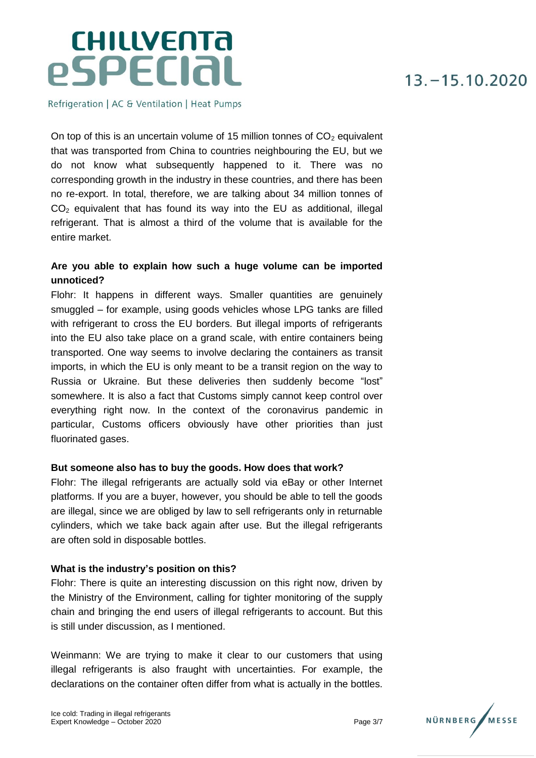Refrigeration | AC & Ventilation | Heat Pumps

On top of this is an uncertain volume of 15 million tonnes of  $CO<sub>2</sub>$  equivalent that was transported from China to countries neighbouring the EU, but we do not know what subsequently happened to it. There was no corresponding growth in the industry in these countries, and there has been no re-export. In total, therefore, we are talking about 34 million tonnes of  $CO<sub>2</sub>$  equivalent that has found its way into the EU as additional, illegal refrigerant. That is almost a third of the volume that is available for the entire market.

### **Are you able to explain how such a huge volume can be imported unnoticed?**

Flohr: It happens in different ways. Smaller quantities are genuinely smuggled – for example, using goods vehicles whose LPG tanks are filled with refrigerant to cross the EU borders. But illegal imports of refrigerants into the EU also take place on a grand scale, with entire containers being transported. One way seems to involve declaring the containers as transit imports, in which the EU is only meant to be a transit region on the way to Russia or Ukraine. But these deliveries then suddenly become "lost" somewhere. It is also a fact that Customs simply cannot keep control over everything right now. In the context of the coronavirus pandemic in particular, Customs officers obviously have other priorities than just fluorinated gases.

#### **But someone also has to buy the goods. How does that work?**

Flohr: The illegal refrigerants are actually sold via eBay or other Internet platforms. If you are a buyer, however, you should be able to tell the goods are illegal, since we are obliged by law to sell refrigerants only in returnable cylinders, which we take back again after use. But the illegal refrigerants are often sold in disposable bottles.

#### **What is the industry's position on this?**

Flohr: There is quite an interesting discussion on this right now, driven by the Ministry of the Environment, calling for tighter monitoring of the supply chain and bringing the end users of illegal refrigerants to account. But this is still under discussion, as I mentioned.

Weinmann: We are trying to make it clear to our customers that using illegal refrigerants is also fraught with uncertainties. For example, the declarations on the container often differ from what is actually in the bottles.

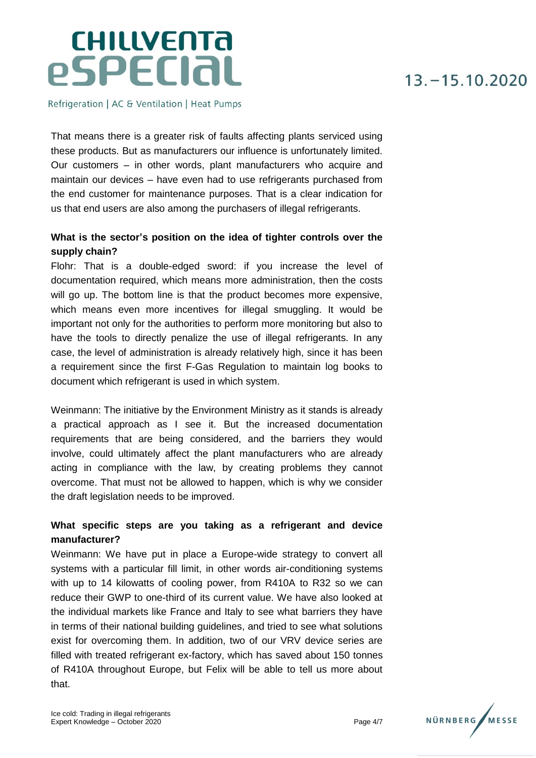# **CHILLVENTA** especial

Refrigeration | AC & Ventilation | Heat Pumps

That means there is a greater risk of faults affecting plants serviced using these products. But as manufacturers our influence is unfortunately limited. Our customers – in other words, plant manufacturers who acquire and maintain our devices – have even had to use refrigerants purchased from the end customer for maintenance purposes. That is a clear indication for us that end users are also among the purchasers of illegal refrigerants.

### **What is the sector's position on the idea of tighter controls over the supply chain?**

Flohr: That is a double-edged sword: if you increase the level of documentation required, which means more administration, then the costs will go up. The bottom line is that the product becomes more expensive, which means even more incentives for illegal smuggling. It would be important not only for the authorities to perform more monitoring but also to have the tools to directly penalize the use of illegal refrigerants. In any case, the level of administration is already relatively high, since it has been a requirement since the first F-Gas Regulation to maintain log books to document which refrigerant is used in which system.

Weinmann: The initiative by the Environment Ministry as it stands is already a practical approach as I see it. But the increased documentation requirements that are being considered, and the barriers they would involve, could ultimately affect the plant manufacturers who are already acting in compliance with the law, by creating problems they cannot overcome. That must not be allowed to happen, which is why we consider the draft legislation needs to be improved.

### **What specific steps are you taking as a refrigerant and device manufacturer?**

Weinmann: We have put in place a Europe-wide strategy to convert all systems with a particular fill limit, in other words air-conditioning systems with up to 14 kilowatts of cooling power, from R410A to R32 so we can reduce their GWP to one-third of its current value. We have also looked at the individual markets like France and Italy to see what barriers they have in terms of their national building guidelines, and tried to see what solutions exist for overcoming them. In addition, two of our VRV device series are filled with treated refrigerant ex-factory, which has saved about 150 tonnes of R410A throughout Europe, but Felix will be able to tell us more about that.

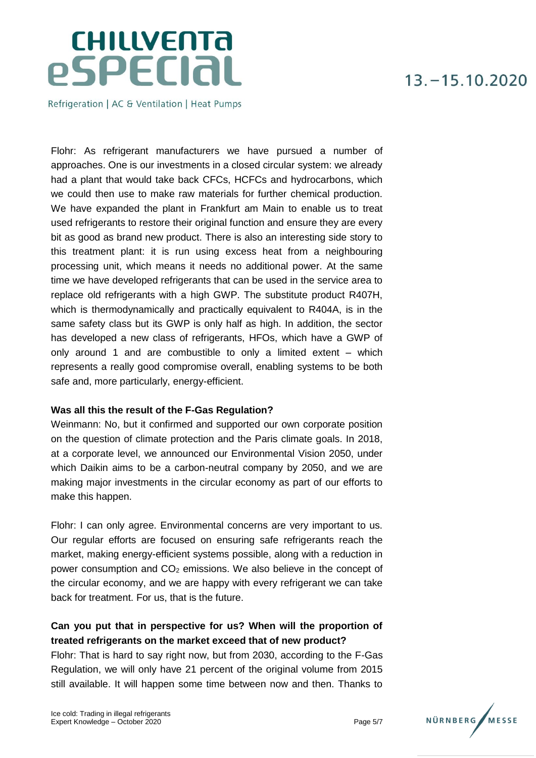Refrigeration | AC & Ventilation | Heat Pumps

Flohr: As refrigerant manufacturers we have pursued a number of approaches. One is our investments in a closed circular system: we already had a plant that would take back CFCs, HCFCs and hydrocarbons, which we could then use to make raw materials for further chemical production. We have expanded the plant in Frankfurt am Main to enable us to treat used refrigerants to restore their original function and ensure they are every bit as good as brand new product. There is also an interesting side story to this treatment plant: it is run using excess heat from a neighbouring processing unit, which means it needs no additional power. At the same time we have developed refrigerants that can be used in the service area to replace old refrigerants with a high GWP. The substitute product R407H, which is thermodynamically and practically equivalent to R404A, is in the same safety class but its GWP is only half as high. In addition, the sector has developed a new class of refrigerants, HFOs, which have a GWP of only around 1 and are combustible to only a limited extent – which represents a really good compromise overall, enabling systems to be both safe and, more particularly, energy-efficient.

#### **Was all this the result of the F-Gas Regulation?**

Weinmann: No, but it confirmed and supported our own corporate position on the question of climate protection and the Paris climate goals. In 2018, at a corporate level, we announced our Environmental Vision 2050, under which Daikin aims to be a carbon-neutral company by 2050, and we are making major investments in the circular economy as part of our efforts to make this happen.

Flohr: I can only agree. Environmental concerns are very important to us. Our regular efforts are focused on ensuring safe refrigerants reach the market, making energy-efficient systems possible, along with a reduction in power consumption and  $CO<sub>2</sub>$  emissions. We also believe in the concept of the circular economy, and we are happy with every refrigerant we can take back for treatment. For us, that is the future.

### **Can you put that in perspective for us? When will the proportion of treated refrigerants on the market exceed that of new product?**

Flohr: That is hard to say right now, but from 2030, according to the F-Gas Regulation, we will only have 21 percent of the original volume from 2015 still available. It will happen some time between now and then. Thanks to

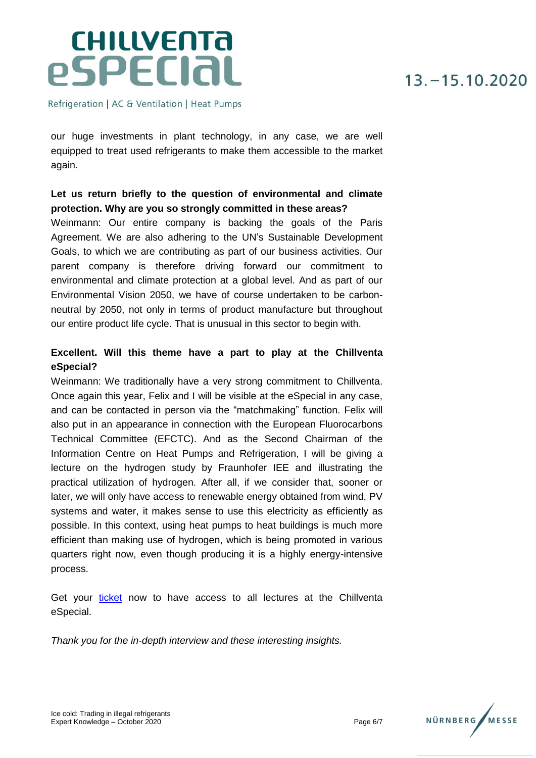Refrigeration | AC & Ventilation | Heat Pumps

our huge investments in plant technology, in any case, we are well equipped to treat used refrigerants to make them accessible to the market again.

### **Let us return briefly to the question of environmental and climate protection. Why are you so strongly committed in these areas?**

Weinmann: Our entire company is backing the goals of the Paris Agreement. We are also adhering to the UN's Sustainable Development Goals, to which we are contributing as part of our business activities. Our parent company is therefore driving forward our commitment to environmental and climate protection at a global level. And as part of our Environmental Vision 2050, we have of course undertaken to be carbonneutral by 2050, not only in terms of product manufacture but throughout our entire product life cycle. That is unusual in this sector to begin with.

### **Excellent. Will this theme have a part to play at the Chillventa eSpecial?**

Weinmann: We traditionally have a very strong commitment to Chillventa. Once again this year, Felix and I will be visible at the eSpecial in any case, and can be contacted in person via the "matchmaking" function. Felix will also put in an appearance in connection with the European Fluorocarbons Technical Committee (EFCTC). And as the Second Chairman of the Information Centre on Heat Pumps and Refrigeration, I will be giving a lecture on the hydrogen study by Fraunhofer IEE and illustrating the practical utilization of hydrogen. After all, if we consider that, sooner or later, we will only have access to renewable energy obtained from wind, PV systems and water, it makes sense to use this electricity as efficiently as possible. In this context, using heat pumps to heat buildings is much more efficient than making use of hydrogen, which is being promoted in various quarters right now, even though producing it is a highly energy-intensive process.

Get your [ticket](https://www.messe-ticket.de/Nuernberg/Chillventa2020/Shop?culture=en) now to have access to all lectures at the Chillventa eSpecial.

*Thank you for the in-depth interview and these interesting insights.*